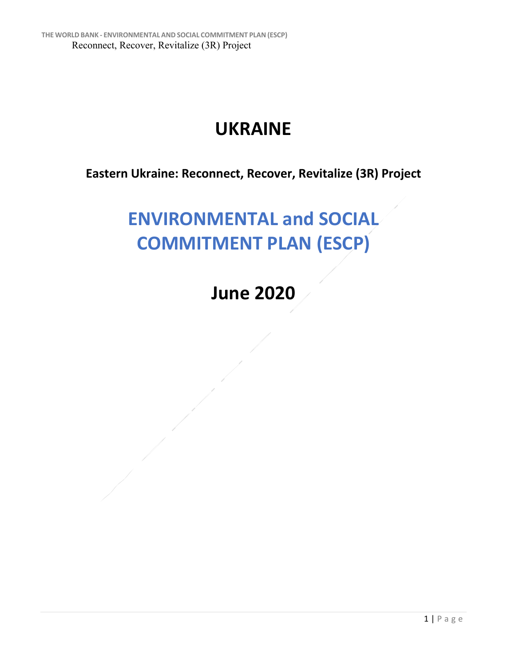## **UKRAINE**

**Eastern Ukraine: Reconnect, Recover, Revitalize (3R) Project**

## **ENVIRONMENTAL and SOCIAL COMMITMENT PLAN (ESCP)**

**June 2020**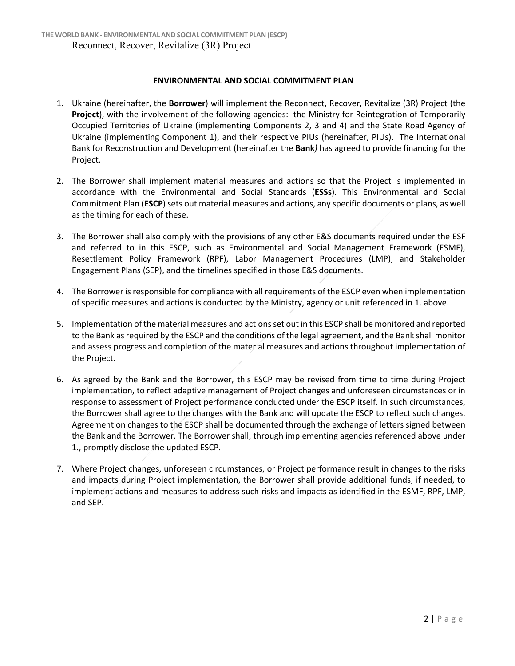## **ENVIRONMENTAL AND SOCIAL COMMITMENT PLAN**

- 1. Ukraine (hereinafter, the **Borrower**) will implement the Reconnect, Recover, Revitalize (3R) Project (the **Project**), with the involvement of the following agencies: the Ministry for Reintegration of Temporarily Occupied Territories of Ukraine (implementing Components 2, 3 and 4) and the State Road Agency of Ukraine (implementing Component 1), and their respective PIUs (hereinafter, PIUs). The International Bank for Reconstruction and Development (hereinafter the **Bank***)* has agreed to provide financing for the Project.
- 2. The Borrower shall implement material measures and actions so that the Project is implemented in accordance with the Environmental and Social Standards (**ESSs**). This Environmental and Social Commitment Plan (**ESCP**) sets out material measures and actions, any specific documents or plans, as well as the timing for each of these.
- 3. The Borrower shall also comply with the provisions of any other E&S documents required under the ESF and referred to in this ESCP, such as Environmental and Social Management Framework (ESMF), Resettlement Policy Framework (RPF), Labor Management Procedures (LMP), and Stakeholder Engagement Plans (SEP), and the timelines specified in those E&S documents.
- 4. The Borrower is responsible for compliance with all requirements of the ESCP even when implementation of specific measures and actions is conducted by the Ministry, agency or unit referenced in 1. above.
- 5. Implementation of the material measures and actions set out in this ESCP shall be monitored and reported to the Bank as required by the ESCP and the conditions of the legal agreement, and the Bank shall monitor and assess progress and completion of the material measures and actions throughout implementation of the Project.
- 6. As agreed by the Bank and the Borrower, this ESCP may be revised from time to time during Project implementation, to reflect adaptive management of Project changes and unforeseen circumstances or in response to assessment of Project performance conducted under the ESCP itself. In such circumstances, the Borrower shall agree to the changes with the Bank and will update the ESCP to reflect such changes. Agreement on changes to the ESCP shall be documented through the exchange of letters signed between the Bank and the Borrower. The Borrower shall, through implementing agencies referenced above under 1., promptly disclose the updated ESCP.
- 7. Where Project changes, unforeseen circumstances, or Project performance result in changes to the risks and impacts during Project implementation, the Borrower shall provide additional funds, if needed, to implement actions and measures to address such risks and impacts as identified in the ESMF, RPF, LMP, and SEP.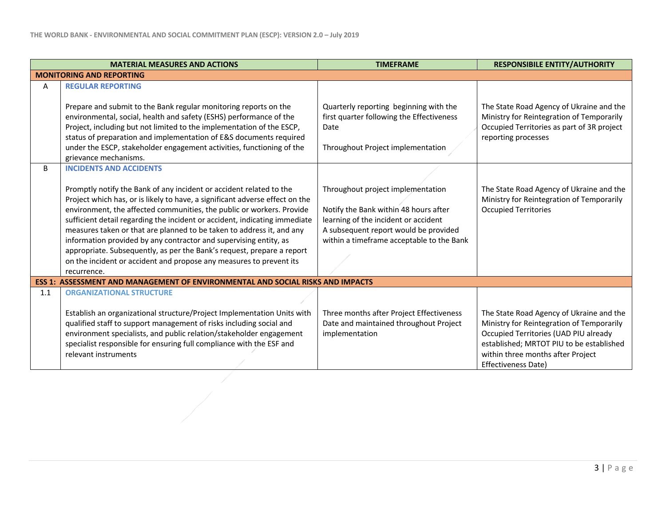|     | <b>MATERIAL MEASURES AND ACTIONS</b>                                                                                                                                                                                                                                                                                                                                                                                                                                                                                                                                                                                                                       | <b>TIMEFRAME</b>                                                                                                                                                                                         | <b>RESPONSIBILE ENTITY/AUTHORITY</b>                                                                                                                                                                                                   |
|-----|------------------------------------------------------------------------------------------------------------------------------------------------------------------------------------------------------------------------------------------------------------------------------------------------------------------------------------------------------------------------------------------------------------------------------------------------------------------------------------------------------------------------------------------------------------------------------------------------------------------------------------------------------------|----------------------------------------------------------------------------------------------------------------------------------------------------------------------------------------------------------|----------------------------------------------------------------------------------------------------------------------------------------------------------------------------------------------------------------------------------------|
|     | <b>MONITORING AND REPORTING</b>                                                                                                                                                                                                                                                                                                                                                                                                                                                                                                                                                                                                                            |                                                                                                                                                                                                          |                                                                                                                                                                                                                                        |
| Α   | <b>REGULAR REPORTING</b>                                                                                                                                                                                                                                                                                                                                                                                                                                                                                                                                                                                                                                   |                                                                                                                                                                                                          |                                                                                                                                                                                                                                        |
|     | Prepare and submit to the Bank regular monitoring reports on the<br>environmental, social, health and safety (ESHS) performance of the<br>Project, including but not limited to the implementation of the ESCP,<br>status of preparation and implementation of E&S documents required<br>under the ESCP, stakeholder engagement activities, functioning of the<br>grievance mechanisms.                                                                                                                                                                                                                                                                    | Quarterly reporting beginning with the<br>first quarter following the Effectiveness<br>Date<br>Throughout Project implementation                                                                         | The State Road Agency of Ukraine and the<br>Ministry for Reintegration of Temporarily<br>Occupied Territories as part of 3R project<br>reporting processes                                                                             |
| B   | <b>INCIDENTS AND ACCIDENTS</b><br>Promptly notify the Bank of any incident or accident related to the<br>Project which has, or is likely to have, a significant adverse effect on the<br>environment, the affected communities, the public or workers. Provide<br>sufficient detail regarding the incident or accident, indicating immediate<br>measures taken or that are planned to be taken to address it, and any<br>information provided by any contractor and supervising entity, as<br>appropriate. Subsequently, as per the Bank's request, prepare a report<br>on the incident or accident and propose any measures to prevent its<br>recurrence. | Throughout project implementation<br>Notify the Bank within 48 hours after<br>learning of the incident or accident<br>A subsequent report would be provided<br>within a timeframe acceptable to the Bank | The State Road Agency of Ukraine and the<br>Ministry for Reintegration of Temporarily<br><b>Occupied Territories</b>                                                                                                                   |
|     | ESS 1: ASSESSMENT AND MANAGEMENT OF ENVIRONMENTAL AND SOCIAL RISKS AND IMPACTS                                                                                                                                                                                                                                                                                                                                                                                                                                                                                                                                                                             |                                                                                                                                                                                                          |                                                                                                                                                                                                                                        |
| 1.1 | <b>ORGANIZATIONAL STRUCTURE</b>                                                                                                                                                                                                                                                                                                                                                                                                                                                                                                                                                                                                                            |                                                                                                                                                                                                          |                                                                                                                                                                                                                                        |
|     | Establish an organizational structure/Project Implementation Units with<br>qualified staff to support management of risks including social and<br>environment specialists, and public relation/stakeholder engagement<br>specialist responsible for ensuring full compliance with the ESF and<br>relevant instruments                                                                                                                                                                                                                                                                                                                                      | Three months after Project Effectiveness<br>Date and maintained throughout Project<br>implementation                                                                                                     | The State Road Agency of Ukraine and the<br>Ministry for Reintegration of Temporarily<br>Occupied Territories (UAD PIU already<br>established; MRTOT PIU to be established<br>within three months after Project<br>Effectiveness Date) |
|     |                                                                                                                                                                                                                                                                                                                                                                                                                                                                                                                                                                                                                                                            |                                                                                                                                                                                                          |                                                                                                                                                                                                                                        |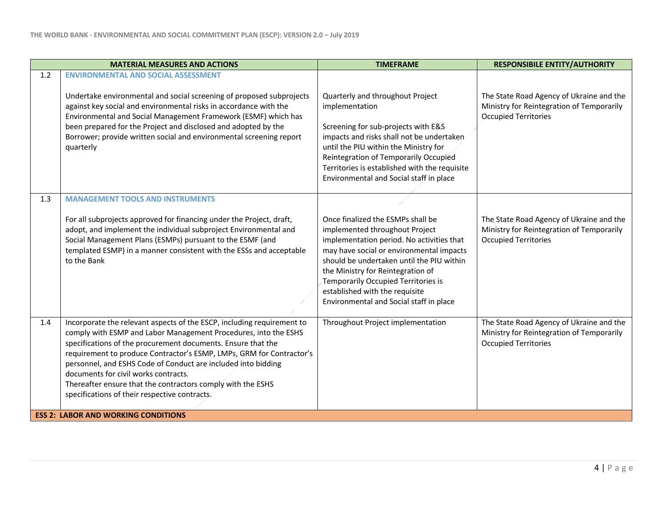|     | <b>MATERIAL MEASURES AND ACTIONS</b>                                                                                                                                                                                                                                                                                                                                                                                                                                                                                                                     | <b>TIMEFRAME</b>                                                                                                                                                                                                                                                                                                                                                   | <b>RESPONSIBILE ENTITY/AUTHORITY</b>                                                                                 |
|-----|----------------------------------------------------------------------------------------------------------------------------------------------------------------------------------------------------------------------------------------------------------------------------------------------------------------------------------------------------------------------------------------------------------------------------------------------------------------------------------------------------------------------------------------------------------|--------------------------------------------------------------------------------------------------------------------------------------------------------------------------------------------------------------------------------------------------------------------------------------------------------------------------------------------------------------------|----------------------------------------------------------------------------------------------------------------------|
| 1.2 | <b>ENVIRONMENTAL AND SOCIAL ASSESSMENT</b><br>Undertake environmental and social screening of proposed subprojects<br>against key social and environmental risks in accordance with the<br>Environmental and Social Management Framework (ESMF) which has<br>been prepared for the Project and disclosed and adopted by the<br>Borrower; provide written social and environmental screening report<br>quarterly                                                                                                                                          | Quarterly and throughout Project<br>implementation<br>Screening for sub-projects with E&S<br>impacts and risks shall not be undertaken<br>until the PIU within the Ministry for<br>Reintegration of Temporarily Occupied<br>Territories is established with the requisite<br>Environmental and Social staff in place                                               | The State Road Agency of Ukraine and the<br>Ministry for Reintegration of Temporarily<br><b>Occupied Territories</b> |
| 1.3 | <b>MANAGEMENT TOOLS AND INSTRUMENTS</b><br>For all subprojects approved for financing under the Project, draft,<br>adopt, and implement the individual subproject Environmental and<br>Social Management Plans (ESMPs) pursuant to the ESMF (and<br>templated ESMP) in a manner consistent with the ESSs and acceptable<br>to the Bank                                                                                                                                                                                                                   | Once finalized the ESMPs shall be<br>implemented throughout Project<br>implementation period. No activities that<br>may have social or environmental impacts<br>should be undertaken until the PIU within<br>the Ministry for Reintegration of<br>Temporarily Occupied Territories is<br>established with the requisite<br>Environmental and Social staff in place | The State Road Agency of Ukraine and the<br>Ministry for Reintegration of Temporarily<br><b>Occupied Territories</b> |
| 1.4 | Incorporate the relevant aspects of the ESCP, including requirement to<br>comply with ESMP and Labor Management Procedures, into the ESHS<br>specifications of the procurement documents. Ensure that the<br>requirement to produce Contractor's ESMP, LMPs, GRM for Contractor's<br>personnel, and ESHS Code of Conduct are included into bidding<br>documents for civil works contracts.<br>Thereafter ensure that the contractors comply with the ESHS<br>specifications of their respective contracts.<br><b>ESS 2: LABOR AND WORKING CONDITIONS</b> | Throughout Project implementation                                                                                                                                                                                                                                                                                                                                  | The State Road Agency of Ukraine and the<br>Ministry for Reintegration of Temporarily<br><b>Occupied Territories</b> |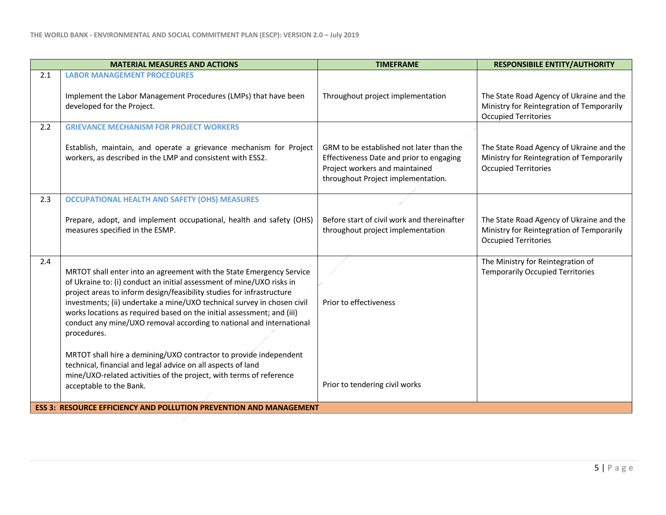|     | <b>MATERIAL MEASURES AND ACTIONS</b>                                                                                                                                                                                                                                                                                                                                                                                                                               | <b>TIMEFRAME</b>                                                                                                                                             | <b>RESPONSIBILE ENTITY/AUTHORITY</b>                                                                                 |
|-----|--------------------------------------------------------------------------------------------------------------------------------------------------------------------------------------------------------------------------------------------------------------------------------------------------------------------------------------------------------------------------------------------------------------------------------------------------------------------|--------------------------------------------------------------------------------------------------------------------------------------------------------------|----------------------------------------------------------------------------------------------------------------------|
| 2.1 | <b>LABOR MANAGEMENT PROCEDURES</b><br>Implement the Labor Management Procedures (LMPs) that have been<br>developed for the Project.                                                                                                                                                                                                                                                                                                                                | Throughout project implementation                                                                                                                            | The State Road Agency of Ukraine and the<br>Ministry for Reintegration of Temporarily<br><b>Occupied Territories</b> |
| 2.2 | <b>GRIEVANCE MECHANISM FOR PROJECT WORKERS</b>                                                                                                                                                                                                                                                                                                                                                                                                                     |                                                                                                                                                              |                                                                                                                      |
|     | Establish, maintain, and operate a grievance mechanism for Project<br>workers, as described in the LMP and consistent with ESS2.                                                                                                                                                                                                                                                                                                                                   | GRM to be established not later than the<br>Effectiveness Date and prior to engaging<br>Project workers and maintained<br>throughout Project implementation. | The State Road Agency of Ukraine and the<br>Ministry for Reintegration of Temporarily<br><b>Occupied Territories</b> |
| 2.3 | <b>OCCUPATIONAL HEALTH AND SAFETY (OHS) MEASURES</b>                                                                                                                                                                                                                                                                                                                                                                                                               |                                                                                                                                                              |                                                                                                                      |
|     | Prepare, adopt, and implement occupational, health and safety (OHS)<br>measures specified in the ESMP.                                                                                                                                                                                                                                                                                                                                                             | Before start of civil work and thereinafter<br>throughout project implementation                                                                             | The State Road Agency of Ukraine and the<br>Ministry for Reintegration of Temporarily<br><b>Occupied Territories</b> |
| 2.4 | MRTOT shall enter into an agreement with the State Emergency Service<br>of Ukraine to: (i) conduct an initial assessment of mine/UXO risks in<br>project areas to inform design/feasibility studies for infrastructure<br>investments; (ii) undertake a mine/UXO technical survey in chosen civil<br>works locations as required based on the initial assessment; and (iii)<br>conduct any mine/UXO removal according to national and international<br>procedures. | Prior to effectiveness                                                                                                                                       | The Ministry for Reintegration of<br><b>Temporarily Occupied Territories</b>                                         |
|     | MRTOT shall hire a demining/UXO contractor to provide independent<br>technical, financial and legal advice on all aspects of land<br>mine/UXO-related activities of the project, with terms of reference<br>acceptable to the Bank.<br><b>ESS 3: RESOURCE EFFICIENCY AND POLLUTION PREVENTION AND MANAGEMENT</b>                                                                                                                                                   | Prior to tendering civil works                                                                                                                               |                                                                                                                      |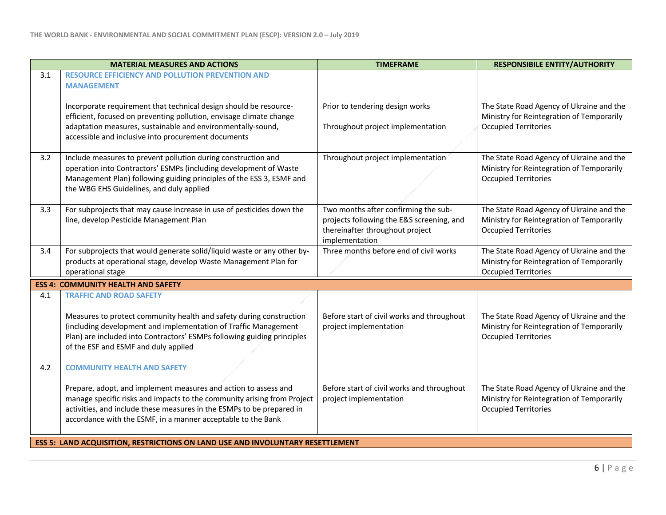|                                                                                       | <b>MATERIAL MEASURES AND ACTIONS</b>                                                                                                                                                                                                                                                                                      | <b>TIMEFRAME</b>                                                                                                                       | <b>RESPONSIBILE ENTITY/AUTHORITY</b>                                                                                 |
|---------------------------------------------------------------------------------------|---------------------------------------------------------------------------------------------------------------------------------------------------------------------------------------------------------------------------------------------------------------------------------------------------------------------------|----------------------------------------------------------------------------------------------------------------------------------------|----------------------------------------------------------------------------------------------------------------------|
| 3.1                                                                                   | RESOURCE EFFICIENCY AND POLLUTION PREVENTION AND<br><b>MANAGEMENT</b>                                                                                                                                                                                                                                                     |                                                                                                                                        |                                                                                                                      |
|                                                                                       | Incorporate requirement that technical design should be resource-<br>efficient, focused on preventing pollution, envisage climate change<br>adaptation measures, sustainable and environmentally-sound,<br>accessible and inclusive into procurement documents                                                            | Prior to tendering design works<br>Throughout project implementation                                                                   | The State Road Agency of Ukraine and the<br>Ministry for Reintegration of Temporarily<br>Occupied Territories        |
| 3.2                                                                                   | Include measures to prevent pollution during construction and<br>operation into Contractors' ESMPs (including development of Waste<br>Management Plan) following guiding principles of the ESS 3, ESMF and<br>the WBG EHS Guidelines, and duly applied                                                                    | Throughout project implementation                                                                                                      | The State Road Agency of Ukraine and the<br>Ministry for Reintegration of Temporarily<br><b>Occupied Territories</b> |
| 3.3                                                                                   | For subprojects that may cause increase in use of pesticides down the<br>line, develop Pesticide Management Plan                                                                                                                                                                                                          | Two months after confirming the sub-<br>projects following the E&S screening, and<br>thereinafter throughout project<br>implementation | The State Road Agency of Ukraine and the<br>Ministry for Reintegration of Temporarily<br><b>Occupied Territories</b> |
| 3.4                                                                                   | For subprojects that would generate solid/liquid waste or any other by-<br>products at operational stage, develop Waste Management Plan for<br>operational stage                                                                                                                                                          | Three months before end of civil works                                                                                                 | The State Road Agency of Ukraine and the<br>Ministry for Reintegration of Temporarily<br><b>Occupied Territories</b> |
|                                                                                       | <b>ESS 4: COMMUNITY HEALTH AND SAFETY</b>                                                                                                                                                                                                                                                                                 |                                                                                                                                        |                                                                                                                      |
| 4.1                                                                                   | <b>TRAFFIC AND ROAD SAFETY</b>                                                                                                                                                                                                                                                                                            |                                                                                                                                        |                                                                                                                      |
|                                                                                       | Measures to protect community health and safety during construction<br>(including development and implementation of Traffic Management<br>Plan) are included into Contractors' ESMPs following guiding principles<br>of the ESF and ESMF and duly applied                                                                 | Before start of civil works and throughout<br>project implementation                                                                   | The State Road Agency of Ukraine and the<br>Ministry for Reintegration of Temporarily<br><b>Occupied Territories</b> |
| 4.2                                                                                   | <b>COMMUNITY HEALTH AND SAFETY</b><br>Prepare, adopt, and implement measures and action to assess and<br>manage specific risks and impacts to the community arising from Project<br>activities, and include these measures in the ESMPs to be prepared in<br>accordance with the ESMF, in a manner acceptable to the Bank | Before start of civil works and throughout<br>project implementation                                                                   | The State Road Agency of Ukraine and the<br>Ministry for Reintegration of Temporarily<br><b>Occupied Territories</b> |
| <b>ESS 5: LAND ACQUISITION, RESTRICTIONS ON LAND USE AND INVOLUNTARY RESETTLEMENT</b> |                                                                                                                                                                                                                                                                                                                           |                                                                                                                                        |                                                                                                                      |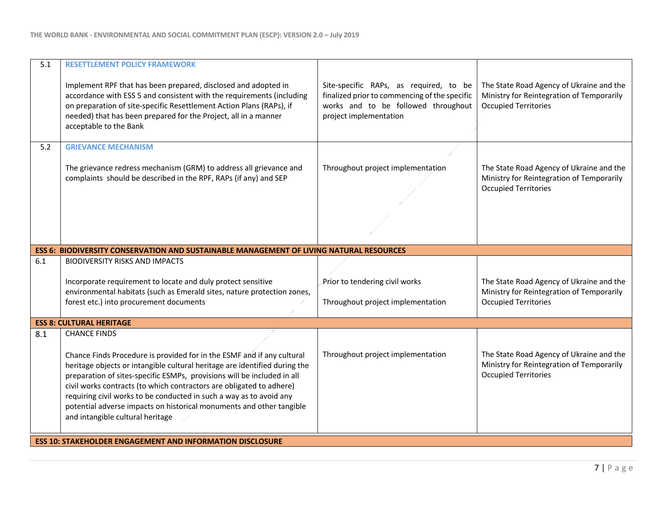| 5.1 | <b>RESETTLEMENT POLICY FRAMEWORK</b>                                                                                                                                                                                                                                                                                                                                                                                                                                                                              |                                                                                                                                                          |                                                                                                                      |
|-----|-------------------------------------------------------------------------------------------------------------------------------------------------------------------------------------------------------------------------------------------------------------------------------------------------------------------------------------------------------------------------------------------------------------------------------------------------------------------------------------------------------------------|----------------------------------------------------------------------------------------------------------------------------------------------------------|----------------------------------------------------------------------------------------------------------------------|
|     | Implement RPF that has been prepared, disclosed and adopted in<br>accordance with ESS 5 and consistent with the requirements (including<br>on preparation of site-specific Resettlement Action Plans (RAPs), if<br>needed) that has been prepared for the Project, all in a manner<br>acceptable to the Bank                                                                                                                                                                                                      | Site-specific RAPs, as required, to be<br>finalized prior to commencing of the specific<br>works and to be followed throughout<br>project implementation | The State Road Agency of Ukraine and the<br>Ministry for Reintegration of Temporarily<br><b>Occupied Territories</b> |
| 5.2 | <b>GRIEVANCE MECHANISM</b>                                                                                                                                                                                                                                                                                                                                                                                                                                                                                        |                                                                                                                                                          |                                                                                                                      |
|     | The grievance redress mechanism (GRM) to address all grievance and<br>complaints should be described in the RPF, RAPs (if any) and SEP                                                                                                                                                                                                                                                                                                                                                                            | Throughout project implementation                                                                                                                        | The State Road Agency of Ukraine and the<br>Ministry for Reintegration of Temporarily<br><b>Occupied Territories</b> |
|     |                                                                                                                                                                                                                                                                                                                                                                                                                                                                                                                   |                                                                                                                                                          |                                                                                                                      |
|     | ESS 6: BIODIVERSITY CONSERVATION AND SUSTAINABLE MANAGEMENT OF LIVING NATURAL RESOURCES                                                                                                                                                                                                                                                                                                                                                                                                                           |                                                                                                                                                          |                                                                                                                      |
| 6.1 | <b>BIODIVERSITY RISKS AND IMPACTS</b>                                                                                                                                                                                                                                                                                                                                                                                                                                                                             |                                                                                                                                                          |                                                                                                                      |
|     | Incorporate requirement to locate and duly protect sensitive<br>environmental habitats (such as Emerald sites, nature protection zones,<br>forest etc.) into procurement documents                                                                                                                                                                                                                                                                                                                                | Prior to tendering civil works<br>Throughout project implementation                                                                                      | The State Road Agency of Ukraine and the<br>Ministry for Reintegration of Temporarily<br><b>Occupied Territories</b> |
|     | <b>ESS 8: CULTURAL HERITAGE</b>                                                                                                                                                                                                                                                                                                                                                                                                                                                                                   |                                                                                                                                                          |                                                                                                                      |
| 8.1 | <b>CHANCE FINDS</b><br>Chance Finds Procedure is provided for in the ESMF and if any cultural<br>heritage objects or intangible cultural heritage are identified during the<br>preparation of sites-specific ESMPs, provisions will be included in all<br>civil works contracts (to which contractors are obligated to adhere)<br>requiring civil works to be conducted in such a way as to avoid any<br>potential adverse impacts on historical monuments and other tangible<br>and intangible cultural heritage | Throughout project implementation                                                                                                                        | The State Road Agency of Ukraine and the<br>Ministry for Reintegration of Temporarily<br><b>Occupied Territories</b> |
|     | <b>ESS 10: STAKEHOLDER ENGAGEMENT AND INFORMATION DISCLOSURE</b>                                                                                                                                                                                                                                                                                                                                                                                                                                                  |                                                                                                                                                          |                                                                                                                      |